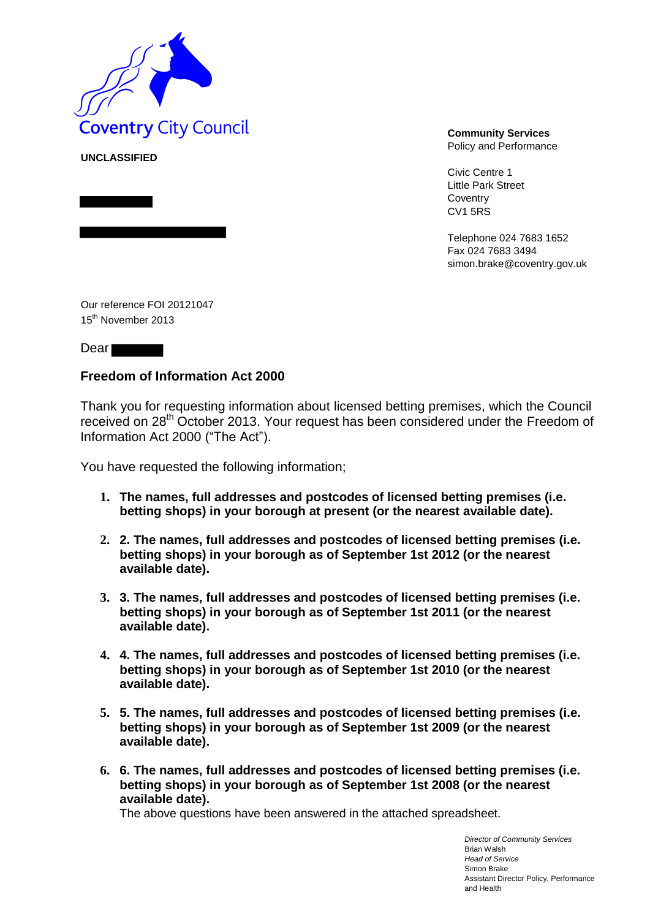

**UNCLASSIFIED**

Policy and Performance

Civic Centre 1 Little Park Street Coventry CV1 5RS

Telephone 024 7683 1652 Fax 024 7683 3494 simon.brake@coventry.gov.uk

Our reference FOI 20121047 15<sup>th</sup> November 2013

Dear<sup>-</sup>

# **Freedom of Information Act 2000**

Thank you for requesting information about licensed betting premises, which the Council received on 28<sup>th</sup> October 2013. Your request has been considered under the Freedom of Information Act 2000 ("The Act").

You have requested the following information;

- **1. The names, full addresses and postcodes of licensed betting premises (i.e. betting shops) in your borough at present (or the nearest available date).**
- **2. 2. The names, full addresses and postcodes of licensed betting premises (i.e. betting shops) in your borough as of September 1st 2012 (or the nearest available date).**
- **3. 3. The names, full addresses and postcodes of licensed betting premises (i.e. betting shops) in your borough as of September 1st 2011 (or the nearest available date).**
- **4. 4. The names, full addresses and postcodes of licensed betting premises (i.e. betting shops) in your borough as of September 1st 2010 (or the nearest available date).**
- **5. 5. The names, full addresses and postcodes of licensed betting premises (i.e. betting shops) in your borough as of September 1st 2009 (or the nearest available date).**
- **6. 6. The names, full addresses and postcodes of licensed betting premises (i.e. betting shops) in your borough as of September 1st 2008 (or the nearest available date).**

The above questions have been answered in the attached spreadsheet.

*Director of Community Services* Brian Walsh *Head of Service* Simon Brake Assistant Director Policy, Performance and Health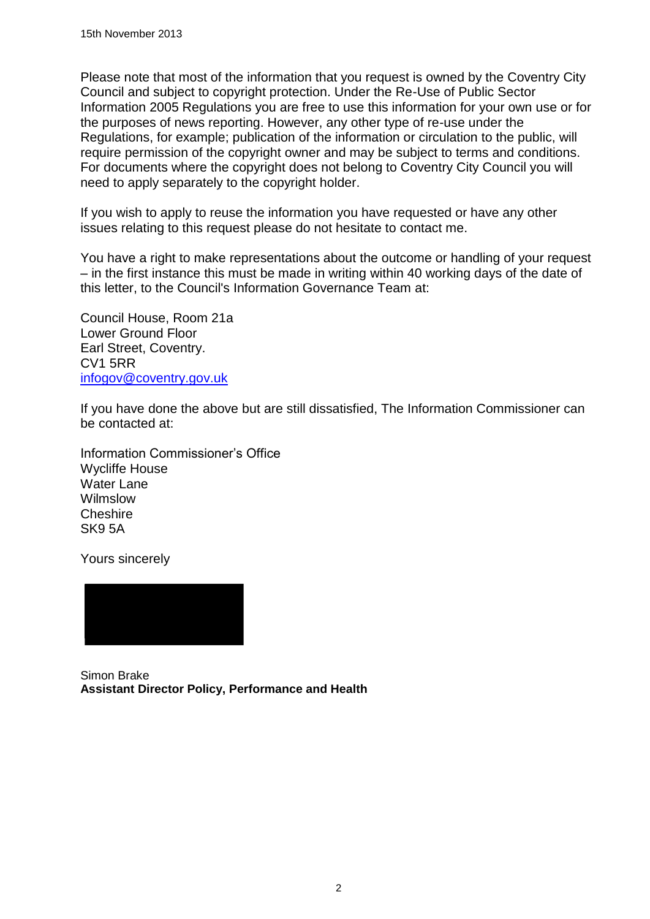Please note that most of the information that you request is owned by the Coventry City Council and subject to copyright protection. Under the Re-Use of Public Sector Information 2005 Regulations you are free to use this information for your own use or for the purposes of news reporting. However, any other type of re-use under the Regulations, for example; publication of the information or circulation to the public, will require permission of the copyright owner and may be subject to terms and conditions. For documents where the copyright does not belong to Coventry City Council you will need to apply separately to the copyright holder.

If you wish to apply to reuse the information you have requested or have any other issues relating to this request please do not hesitate to contact me.

You have a right to make representations about the outcome or handling of your request – in the first instance this must be made in writing within 40 working days of the date of this letter, to the Council's Information Governance Team at:

Council House, Room 21a Lower Ground Floor Earl Street, Coventry. CV1 5RR [infogov@coventry.gov.uk](mailto:infogov@coventry.gov.uk)

If you have done the above but are still dissatisfied, The Information Commissioner can be contacted at:

Information Commissioner's Office Wycliffe House Water Lane Wilmslow **Cheshire** SK9 5A

Yours sincerely



Simon Brake **Assistant Director Policy, Performance and Health**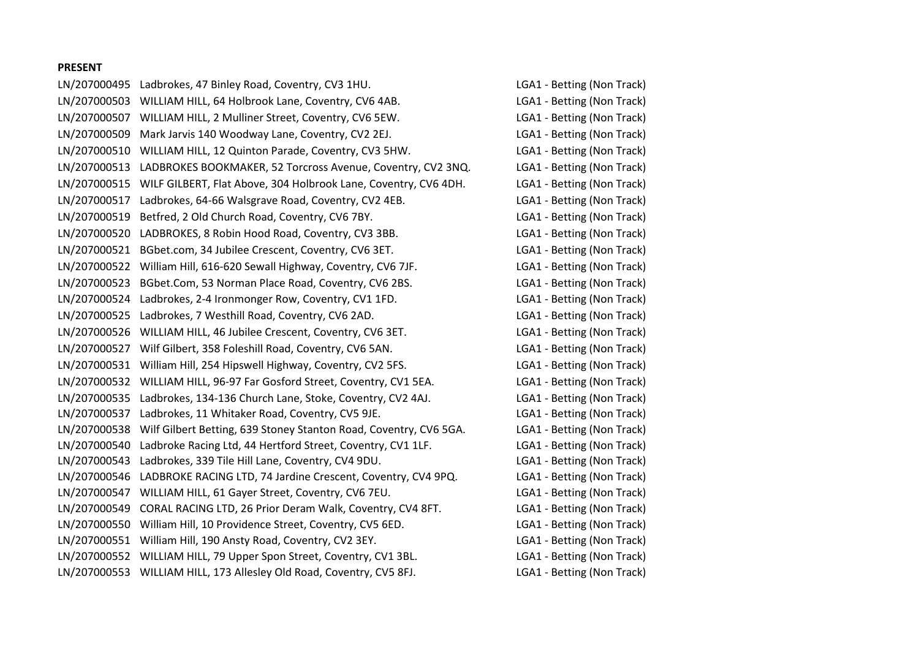#### **PRESENT**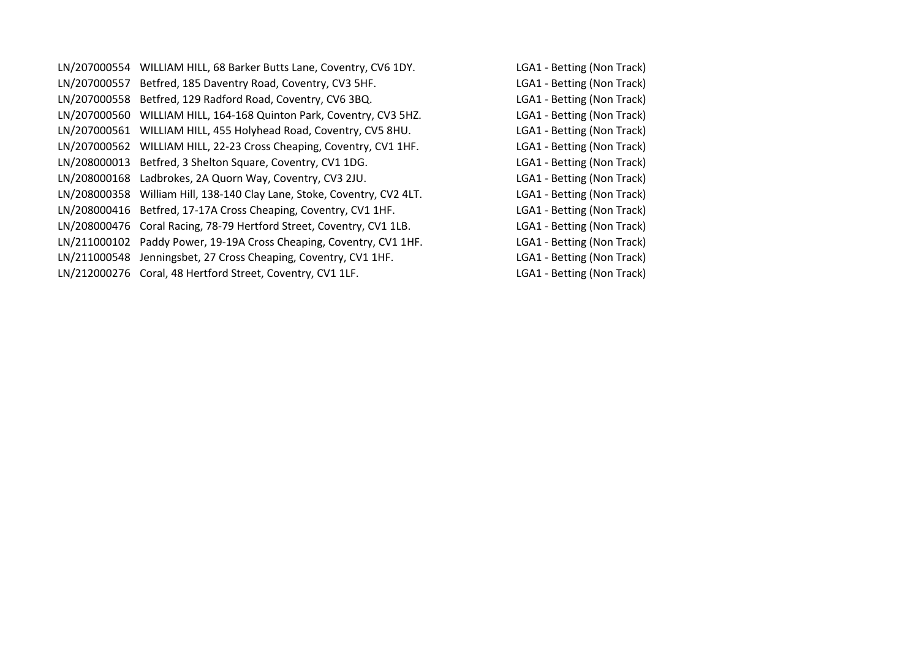LN/207000554 WILLIAM HILL, 68 Barker Butts Lane, Coventry, CV6 1DY. LGA1 - Betting (Non Track) LN/207000557 Betfred, 185 Daventry Road, Coventry, CV3 5HF. LGA1 - Betting (Non Track) LN/207000558 Betfred, 129 Radford Road, Coventry, CV6 3BQ. LGA1 - Betting (Non Track) LN/207000560 WILLIAM HILL, 164-168 Quinton Park, Coventry, CV3 5HZ. LGA1 - Betting (Non Track) LN/207000561 WILLIAM HILL, 455 Holyhead Road, Coventry, CV5 8HU. LGA1 - Betting (Non Track) LN/207000562 WILLIAM HILL, 22-23 Cross Cheaping, Coventry, CV1 1HF. LGA1 - Betting (Non Track) LN/208000013 Betfred, 3 Shelton Square, Coventry, CV1 1DG. LGA1 - Betting (Non Track) LN/208000168 Ladbrokes, 2A Quorn Way, Coventry, CV3 2JU. LGA1 - Betting (Non Track) LN/208000358 William Hill, 138-140 Clay Lane, Stoke, Coventry, CV2 4LT. LGA1 - Betting (Non Track) LN/208000416 Betfred, 17-17A Cross Cheaping, Coventry, CV1 1HF. LGA1 - Betting (Non Track) LN/208000476 Coral Racing, 78-79 Hertford Street, Coventry, CV1 1LB. LGA1 - Betting (Non Track) LN/211000102 Paddy Power, 19-19A Cross Cheaping, Coventry, CV1 1HF. LGA1 - Betting (Non Track) LN/211000548 Jenningsbet, 27 Cross Cheaping, Coventry, CV1 1HF. LGA1 - Betting (Non Track) LN/212000276 Coral, 48 Hertford Street, Coventry, CV1 1LF. LGA1 - Betting (Non Track)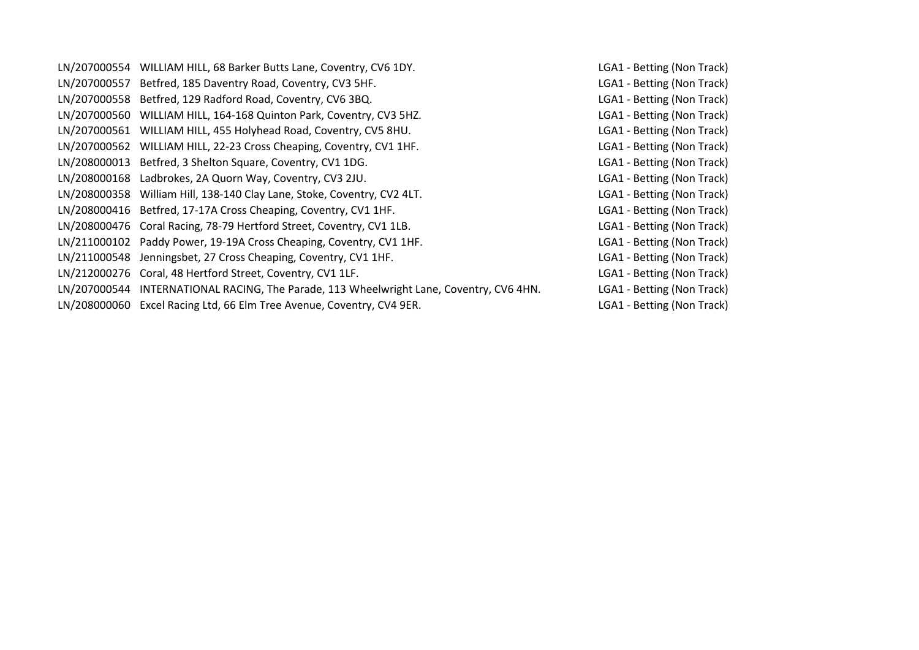| LN/207000554 WILLIAM HILL, 68 Barker Butts Lane, Coventry, CV6 1DY.                     | LGA1 - Betting (Non Track) |
|-----------------------------------------------------------------------------------------|----------------------------|
| LN/207000557 Betfred, 185 Daventry Road, Coventry, CV3 5HF.                             | LGA1 - Betting (Non Track) |
| LN/207000558 Betfred, 129 Radford Road, Coventry, CV6 3BQ.                              | LGA1 - Betting (Non Track) |
| LN/207000560 WILLIAM HILL, 164-168 Quinton Park, Coventry, CV3 5HZ.                     | LGA1 - Betting (Non Track) |
| LN/207000561 WILLIAM HILL, 455 Holyhead Road, Coventry, CV5 8HU.                        | LGA1 - Betting (Non Track) |
| LN/207000562 WILLIAM HILL, 22-23 Cross Cheaping, Coventry, CV1 1HF.                     | LGA1 - Betting (Non Track) |
| LN/208000013 Betfred, 3 Shelton Square, Coventry, CV1 1DG.                              | LGA1 - Betting (Non Track) |
| LN/208000168 Ladbrokes, 2A Quorn Way, Coventry, CV3 2JU.                                | LGA1 - Betting (Non Track) |
| LN/208000358 William Hill, 138-140 Clay Lane, Stoke, Coventry, CV2 4LT.                 | LGA1 - Betting (Non Track) |
| LN/208000416 Betfred, 17-17A Cross Cheaping, Coventry, CV1 1HF.                         | LGA1 - Betting (Non Track) |
| LN/208000476 Coral Racing, 78-79 Hertford Street, Coventry, CV1 1LB.                    | LGA1 - Betting (Non Track) |
| LN/211000102 Paddy Power, 19-19A Cross Cheaping, Coventry, CV1 1HF.                     | LGA1 - Betting (Non Track) |
| LN/211000548 Jenningsbet, 27 Cross Cheaping, Coventry, CV1 1HF.                         | LGA1 - Betting (Non Track) |
| LN/212000276 Coral, 48 Hertford Street, Coventry, CV1 1LF.                              | LGA1 - Betting (Non Track) |
| LN/207000544 INTERNATIONAL RACING, The Parade, 113 Wheelwright Lane, Coventry, CV6 4HN. | LGA1 - Betting (Non Track) |
| LN/208000060 Excel Racing Ltd, 66 Elm Tree Avenue, Coventry, CV4 9ER.                   | LGA1 - Betting (Non Track) |
|                                                                                         |                            |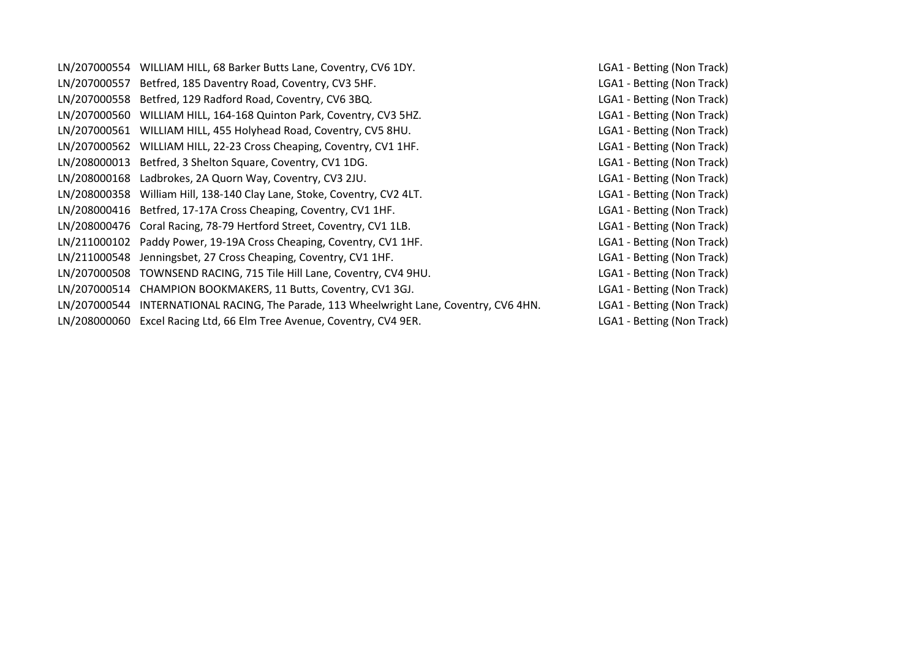| LN/207000554 WILLIAM HILL, 68 Barker Butts Lane, Coventry, CV6 1DY.                     | LGA1 - Betting (Non Track) |
|-----------------------------------------------------------------------------------------|----------------------------|
| LN/207000557 Betfred, 185 Daventry Road, Coventry, CV3 5HF.                             | LGA1 - Betting (Non Track) |
| LN/207000558 Betfred, 129 Radford Road, Coventry, CV6 3BQ.                              | LGA1 - Betting (Non Track) |
| LN/207000560 WILLIAM HILL, 164-168 Quinton Park, Coventry, CV3 5HZ.                     | LGA1 - Betting (Non Track) |
| LN/207000561 WILLIAM HILL, 455 Holyhead Road, Coventry, CV5 8HU.                        | LGA1 - Betting (Non Track) |
| LN/207000562 WILLIAM HILL, 22-23 Cross Cheaping, Coventry, CV1 1HF.                     | LGA1 - Betting (Non Track) |
| LN/208000013 Betfred, 3 Shelton Square, Coventry, CV1 1DG.                              | LGA1 - Betting (Non Track) |
| LN/208000168 Ladbrokes, 2A Quorn Way, Coventry, CV3 2JU.                                | LGA1 - Betting (Non Track) |
| LN/208000358 William Hill, 138-140 Clay Lane, Stoke, Coventry, CV2 4LT.                 | LGA1 - Betting (Non Track) |
| LN/208000416 Betfred, 17-17A Cross Cheaping, Coventry, CV1 1HF.                         | LGA1 - Betting (Non Track) |
| LN/208000476 Coral Racing, 78-79 Hertford Street, Coventry, CV1 1LB.                    | LGA1 - Betting (Non Track) |
| LN/211000102 Paddy Power, 19-19A Cross Cheaping, Coventry, CV1 1HF.                     | LGA1 - Betting (Non Track) |
| LN/211000548 Jenningsbet, 27 Cross Cheaping, Coventry, CV1 1HF.                         | LGA1 - Betting (Non Track) |
| LN/207000508 TOWNSEND RACING, 715 Tile Hill Lane, Coventry, CV4 9HU.                    | LGA1 - Betting (Non Track) |
| LN/207000514 CHAMPION BOOKMAKERS, 11 Butts, Coventry, CV1 3GJ.                          | LGA1 - Betting (Non Track) |
| LN/207000544 INTERNATIONAL RACING, The Parade, 113 Wheelwright Lane, Coventry, CV6 4HN. | LGA1 - Betting (Non Track) |
| LN/208000060 Excel Racing Ltd, 66 Elm Tree Avenue, Coventry, CV4 9ER.                   | LGA1 - Betting (Non Track) |
|                                                                                         |                            |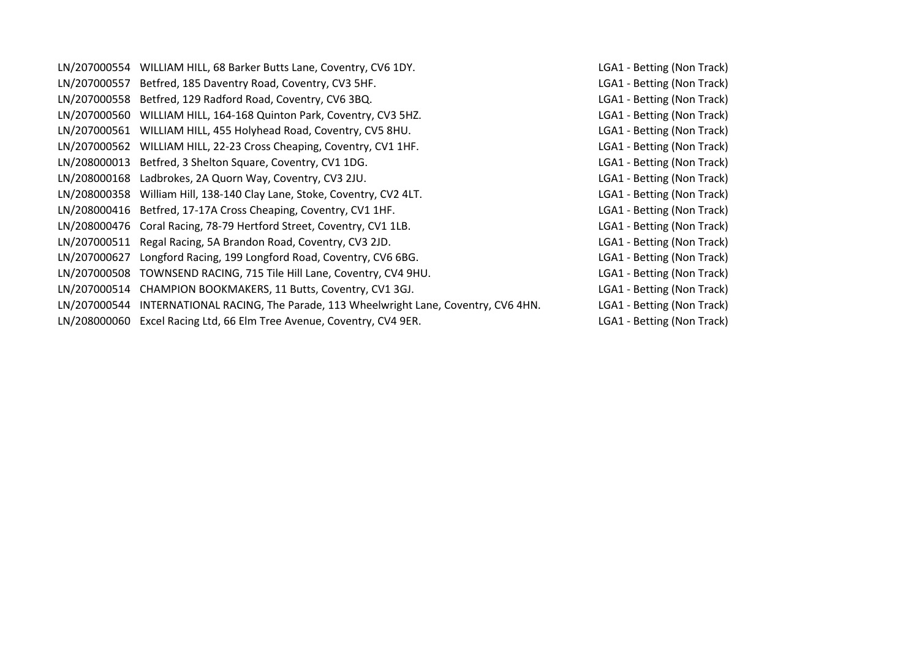|              | LN/207000554 WILLIAM HILL, 68 Barker Butts Lane, Coventry, CV6 1DY.                     | LGA1 - Betting (Non Track) |
|--------------|-----------------------------------------------------------------------------------------|----------------------------|
|              | LN/207000557 Betfred, 185 Daventry Road, Coventry, CV3 5HF.                             | LGA1 - Betting (Non Track) |
|              | LN/207000558 Betfred, 129 Radford Road, Coventry, CV6 3BQ.                              | LGA1 - Betting (Non Track) |
|              | LN/207000560 WILLIAM HILL, 164-168 Quinton Park, Coventry, CV3 5HZ.                     | LGA1 - Betting (Non Track) |
|              | LN/207000561 WILLIAM HILL, 455 Holyhead Road, Coventry, CV5 8HU.                        | LGA1 - Betting (Non Track) |
|              | LN/207000562 WILLIAM HILL, 22-23 Cross Cheaping, Coventry, CV1 1HF.                     | LGA1 - Betting (Non Track) |
|              | LN/208000013 Betfred, 3 Shelton Square, Coventry, CV1 1DG.                              | LGA1 - Betting (Non Track) |
|              | LN/208000168 Ladbrokes, 2A Quorn Way, Coventry, CV3 2JU.                                | LGA1 - Betting (Non Track) |
|              | LN/208000358 William Hill, 138-140 Clay Lane, Stoke, Coventry, CV2 4LT.                 | LGA1 - Betting (Non Track) |
|              | LN/208000416 Betfred, 17-17A Cross Cheaping, Coventry, CV1 1HF.                         | LGA1 - Betting (Non Track) |
|              | LN/208000476 Coral Racing, 78-79 Hertford Street, Coventry, CV1 1LB.                    | LGA1 - Betting (Non Track) |
|              | LN/207000511 Regal Racing, 5A Brandon Road, Coventry, CV3 2JD.                          | LGA1 - Betting (Non Track) |
| LN/207000627 | Longford Racing, 199 Longford Road, Coventry, CV6 6BG.                                  | LGA1 - Betting (Non Track) |
|              | LN/207000508 TOWNSEND RACING, 715 Tile Hill Lane, Coventry, CV4 9HU.                    | LGA1 - Betting (Non Track) |
|              | LN/207000514 CHAMPION BOOKMAKERS, 11 Butts, Coventry, CV1 3GJ.                          | LGA1 - Betting (Non Track) |
|              | LN/207000544 INTERNATIONAL RACING, The Parade, 113 Wheelwright Lane, Coventry, CV6 4HN. | LGA1 - Betting (Non Track) |
|              | LN/208000060 Excel Racing Ltd, 66 Elm Tree Avenue, Coventry, CV4 9ER.                   | LGA1 - Betting (Non Track) |
|              |                                                                                         |                            |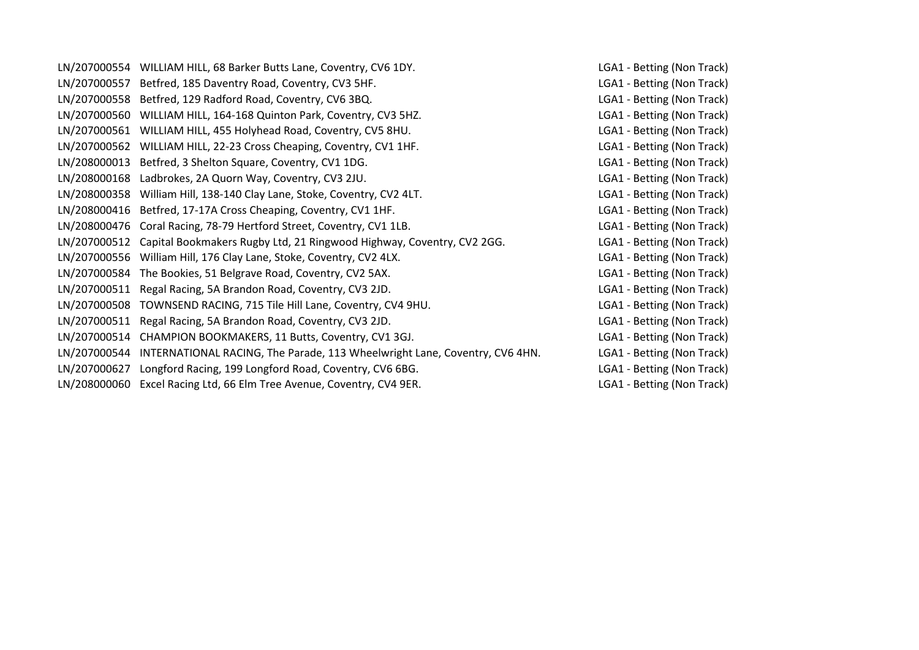|              | LN/207000554 WILLIAM HILL, 68 Barker Butts Lane, Coventry, CV6 1DY.                     | LGA1 - Betting (Non Track) |
|--------------|-----------------------------------------------------------------------------------------|----------------------------|
| LN/207000557 | Betfred, 185 Daventry Road, Coventry, CV3 5HF.                                          | LGA1 - Betting (Non Track) |
|              | LN/207000558 Betfred, 129 Radford Road, Coventry, CV6 3BQ.                              | LGA1 - Betting (Non Track) |
|              | LN/207000560 WILLIAM HILL, 164-168 Quinton Park, Coventry, CV3 5HZ.                     | LGA1 - Betting (Non Track) |
|              | LN/207000561 WILLIAM HILL, 455 Holyhead Road, Coventry, CV5 8HU.                        | LGA1 - Betting (Non Track) |
|              | LN/207000562 WILLIAM HILL, 22-23 Cross Cheaping, Coventry, CV1 1HF.                     | LGA1 - Betting (Non Track) |
|              | LN/208000013 Betfred, 3 Shelton Square, Coventry, CV1 1DG.                              | LGA1 - Betting (Non Track) |
|              | LN/208000168 Ladbrokes, 2A Quorn Way, Coventry, CV3 2JU.                                | LGA1 - Betting (Non Track) |
|              | LN/208000358 William Hill, 138-140 Clay Lane, Stoke, Coventry, CV2 4LT.                 | LGA1 - Betting (Non Track) |
|              | LN/208000416 Betfred, 17-17A Cross Cheaping, Coventry, CV1 1HF.                         | LGA1 - Betting (Non Track) |
|              | LN/208000476 Coral Racing, 78-79 Hertford Street, Coventry, CV1 1LB.                    | LGA1 - Betting (Non Track) |
|              | LN/207000512 Capital Bookmakers Rugby Ltd, 21 Ringwood Highway, Coventry, CV2 2GG.      | LGA1 - Betting (Non Track) |
|              | LN/207000556 William Hill, 176 Clay Lane, Stoke, Coventry, CV2 4LX.                     | LGA1 - Betting (Non Track) |
|              | LN/207000584 The Bookies, 51 Belgrave Road, Coventry, CV2 5AX.                          | LGA1 - Betting (Non Track) |
| LN/207000511 | Regal Racing, 5A Brandon Road, Coventry, CV3 2JD.                                       | LGA1 - Betting (Non Track) |
|              | LN/207000508 TOWNSEND RACING, 715 Tile Hill Lane, Coventry, CV4 9HU.                    | LGA1 - Betting (Non Track) |
|              | LN/207000511 Regal Racing, 5A Brandon Road, Coventry, CV3 2JD.                          | LGA1 - Betting (Non Track) |
|              | LN/207000514 CHAMPION BOOKMAKERS, 11 Butts, Coventry, CV1 3GJ.                          | LGA1 - Betting (Non Track) |
|              | LN/207000544 INTERNATIONAL RACING, The Parade, 113 Wheelwright Lane, Coventry, CV6 4HN. | LGA1 - Betting (Non Track) |
| LN/207000627 | Longford Racing, 199 Longford Road, Coventry, CV6 6BG.                                  | LGA1 - Betting (Non Track) |
|              | LN/208000060 Excel Racing Ltd, 66 Elm Tree Avenue, Coventry, CV4 9ER.                   | LGA1 - Betting (Non Track) |